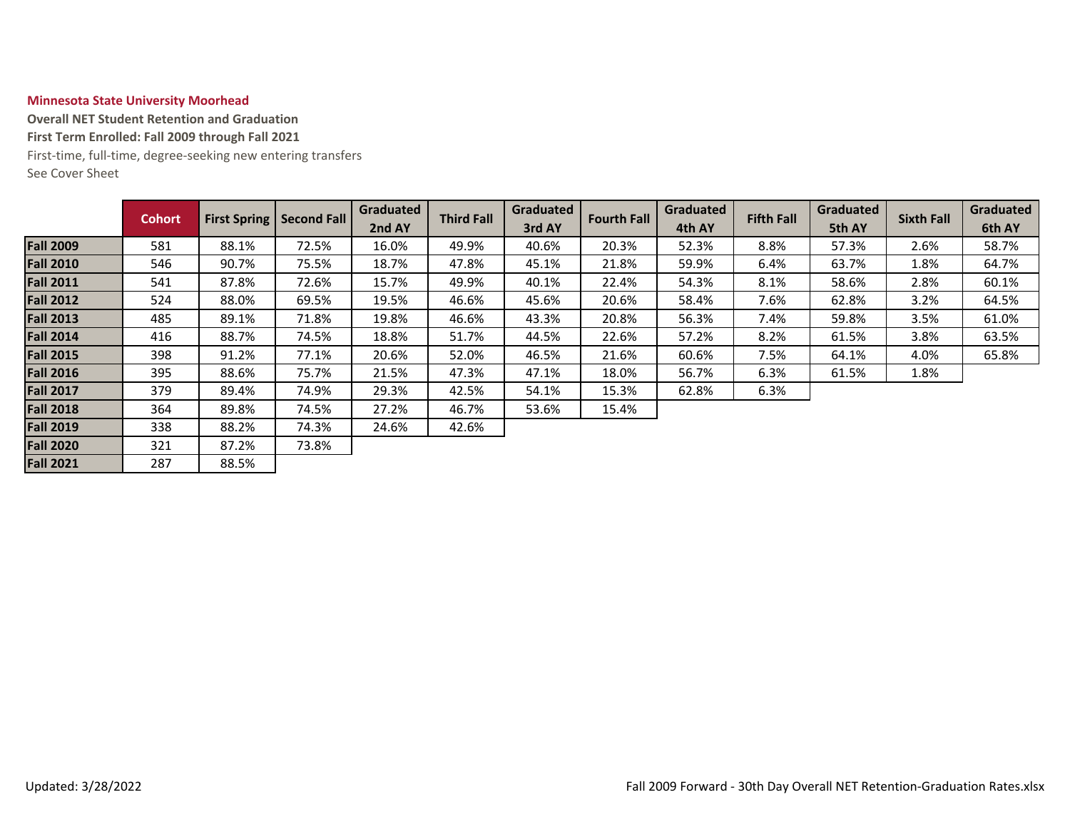## **Minnesota State University Moorhead**

**Overall NET Student Retention and Graduation First Term Enrolled: Fall 2009 through Fall 2021** First-time, full-time, degree-seeking new entering transfers

See Cover Sheet

|                  | <b>Cohort</b> |       | <b>First Spring   Second Fall</b> | Graduated | Graduated         |        | Graduated          | <b>Fifth Fall</b> | Graduated |        | <b>Graduated</b>  |        |
|------------------|---------------|-------|-----------------------------------|-----------|-------------------|--------|--------------------|-------------------|-----------|--------|-------------------|--------|
|                  |               |       |                                   | 2nd AY    | <b>Third Fall</b> | 3rd AY | <b>Fourth Fall</b> | 4th AY            |           | 5th AY | <b>Sixth Fall</b> | 6th AY |
| <b>Fall 2009</b> | 581           | 88.1% | 72.5%                             | 16.0%     | 49.9%             | 40.6%  | 20.3%              | 52.3%             | 8.8%      | 57.3%  | 2.6%              | 58.7%  |
| <b>Fall 2010</b> | 546           | 90.7% | 75.5%                             | 18.7%     | 47.8%             | 45.1%  | 21.8%              | 59.9%             | 6.4%      | 63.7%  | 1.8%              | 64.7%  |
| <b>Fall 2011</b> | 541           | 87.8% | 72.6%                             | 15.7%     | 49.9%             | 40.1%  | 22.4%              | 54.3%             | 8.1%      | 58.6%  | 2.8%              | 60.1%  |
| <b>Fall 2012</b> | 524           | 88.0% | 69.5%                             | 19.5%     | 46.6%             | 45.6%  | 20.6%              | 58.4%             | 7.6%      | 62.8%  | 3.2%              | 64.5%  |
| <b>Fall 2013</b> | 485           | 89.1% | 71.8%                             | 19.8%     | 46.6%             | 43.3%  | 20.8%              | 56.3%             | 7.4%      | 59.8%  | 3.5%              | 61.0%  |
| <b>Fall 2014</b> | 416           | 88.7% | 74.5%                             | 18.8%     | 51.7%             | 44.5%  | 22.6%              | 57.2%             | 8.2%      | 61.5%  | 3.8%              | 63.5%  |
| <b>Fall 2015</b> | 398           | 91.2% | 77.1%                             | 20.6%     | 52.0%             | 46.5%  | 21.6%              | 60.6%             | 7.5%      | 64.1%  | 4.0%              | 65.8%  |
| <b>Fall 2016</b> | 395           | 88.6% | 75.7%                             | 21.5%     | 47.3%             | 47.1%  | 18.0%              | 56.7%             | $6.3\%$   | 61.5%  | 1.8%              |        |
| <b>Fall 2017</b> | 379           | 89.4% | 74.9%                             | 29.3%     | 42.5%             | 54.1%  | 15.3%              | 62.8%             | 6.3%      |        |                   |        |
| <b>Fall 2018</b> | 364           | 89.8% | 74.5%                             | 27.2%     | 46.7%             | 53.6%  | 15.4%              |                   |           |        |                   |        |
| <b>Fall 2019</b> | 338           | 88.2% | 74.3%                             | 24.6%     | 42.6%             |        |                    |                   |           |        |                   |        |
| <b>Fall 2020</b> | 321           | 87.2% | 73.8%                             |           |                   |        |                    |                   |           |        |                   |        |
| <b>Fall 2021</b> | 287           | 88.5% |                                   |           |                   |        |                    |                   |           |        |                   |        |